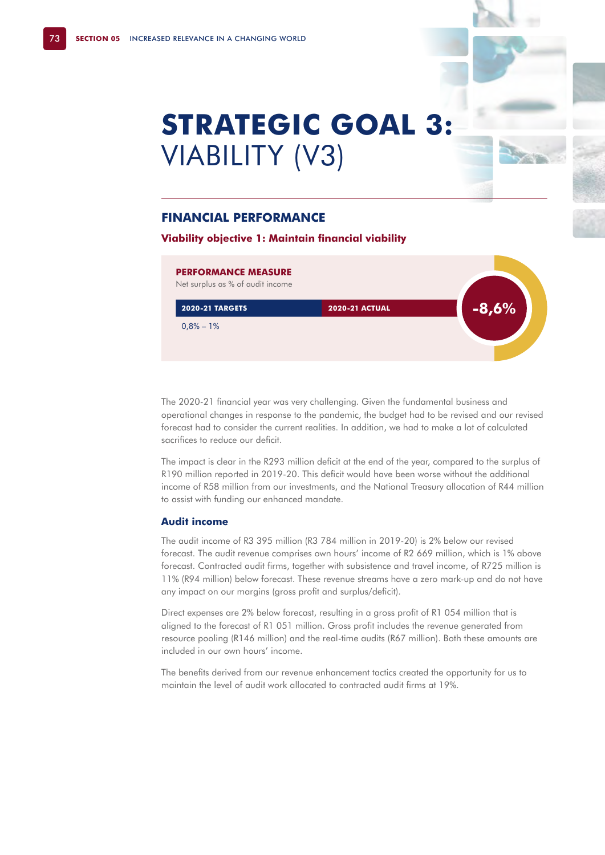# **STRATEGIC GOAL 3:**  VIABILITY (V3)

## **FINANCIAL PERFORMANCE**

**Viability objective 1: Maintain financial viability**

# **PERFORMANCE MEASURE** Net surplus as % of audit income **2020-21 TARGETS -8,6%**  $0.8\% - 1\%$ **2020-21 ACTUAL**

The 2020-21 financial year was very challenging. Given the fundamental business and operational changes in response to the pandemic, the budget had to be revised and our revised forecast had to consider the current realities. In addition, we had to make a lot of calculated sacrifices to reduce our deficit.

The impact is clear in the R293 million deficit at the end of the year, compared to the surplus of R190 million reported in 2019-20. This deficit would have been worse without the additional income of R58 million from our investments, and the National Treasury allocation of R44 million to assist with funding our enhanced mandate.

#### **Audit income**

The audit income of R3 395 million (R3 784 million in 2019-20) is 2% below our revised forecast. The audit revenue comprises own hours' income of R2 669 million, which is 1% above forecast. Contracted audit firms, together with subsistence and travel income, of R725 million is 11% (R94 million) below forecast. These revenue streams have a zero mark-up and do not have any impact on our margins (gross profit and surplus/deficit).

Direct expenses are 2% below forecast, resulting in a gross profit of R1 054 million that is aligned to the forecast of R1 051 million. Gross profit includes the revenue generated from resource pooling (R146 million) and the real-time audits (R67 million). Both these amounts are included in our own hours' income.

The benefits derived from our revenue enhancement tactics created the opportunity for us to maintain the level of audit work allocated to contracted audit firms at 19%.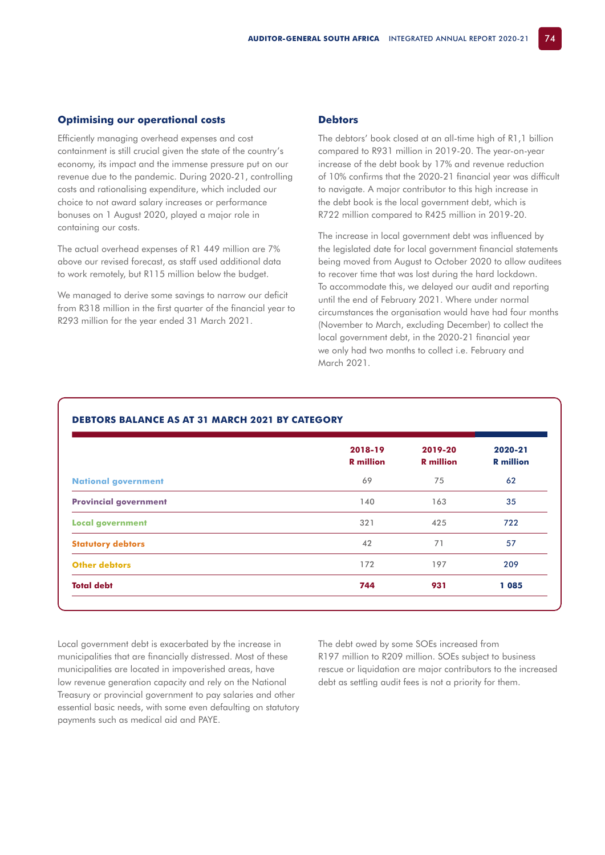#### **Optimising our operational costs**

Efficiently managing overhead expenses and cost containment is still crucial given the state of the country's economy, its impact and the immense pressure put on our revenue due to the pandemic. During 2020-21, controlling costs and rationalising expenditure, which included our choice to not award salary increases or performance bonuses on 1 August 2020, played a major role in containing our costs.

The actual overhead expenses of R1 449 million are 7% above our revised forecast, as staff used additional data to work remotely, but R115 million below the budget.

We managed to derive some savings to narrow our deficit from R318 million in the first quarter of the financial year to R293 million for the year ended 31 March 2021.

#### **Debtors**

The debtors' book closed at an all-time high of R1,1 billion compared to R931 million in 2019-20. The year-on-year increase of the debt book by 17% and revenue reduction of 10% confirms that the 2020-21 financial year was difficult to navigate. A major contributor to this high increase in the debt book is the local government debt, which is R722 million compared to R425 million in 2019-20.

The increase in local government debt was influenced by the legislated date for local government financial statements being moved from August to October 2020 to allow auditees to recover time that was lost during the hard lockdown. To accommodate this, we delayed our audit and reporting until the end of February 2021. Where under normal circumstances the organisation would have had four months (November to March, excluding December) to collect the local government debt, in the 2020-21 financial year we only had two months to collect i.e. February and March 2021.

|                              | 2018-19<br><b>R</b> million | 2019-20<br><b>R</b> million | 2020-21<br><b>R</b> million |
|------------------------------|-----------------------------|-----------------------------|-----------------------------|
| <b>National government</b>   | 69                          | 75                          | 62                          |
| <b>Provincial government</b> | 140                         | 163                         | 35                          |
| <b>Local government</b>      | 321                         | 425                         | 722                         |
| <b>Statutory debtors</b>     | 42                          | 71                          | 57                          |
| <b>Other debtors</b>         | 172                         | 197                         | 209                         |
| <b>Total debt</b>            | 744                         | 931                         | 1085                        |

### **DEBTORS BALANCE AS AT 31 MARCH 2021 BY CATEGORY**

Local government debt is exacerbated by the increase in municipalities that are financially distressed. Most of these municipalities are located in impoverished areas, have low revenue generation capacity and rely on the National Treasury or provincial government to pay salaries and other essential basic needs, with some even defaulting on statutory payments such as medical aid and PAYE.

The debt owed by some SOEs increased from R197 million to R209 million. SOEs subject to business rescue or liquidation are major contributors to the increased debt as settling audit fees is not a priority for them.